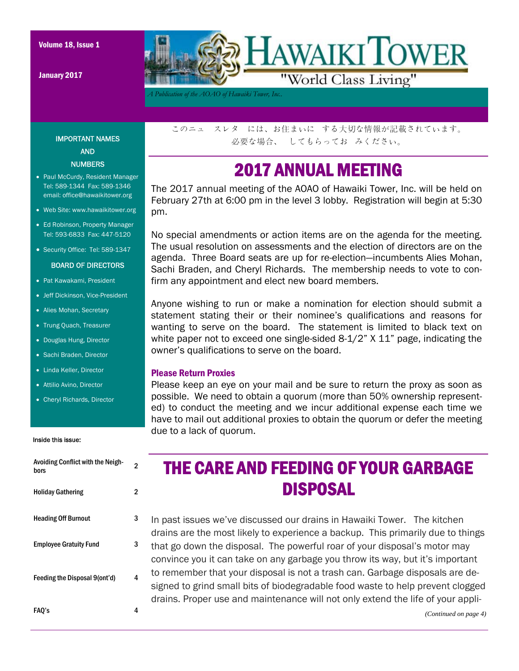Volume 18, Issue 1

January 2017



*A Publication of the AOAO of Hawaiki Tower, Inc..* 

IMPORTANT NAMES AND **NUMBERS** 

- Paul McCurdy, Resident Manager Tel: 589-1344 Fax: 589-1346 email: office@hawaikitower.org
- Web Site: www.hawaikitower.org
- Ed Robinson, Property Manager Tel: 593-6833 Fax: 447-5120
- Security Office: Tel: 589-1347

#### BOARD OF DIRECTORS

- Pat Kawakami, President
- Jeff Dickinson, Vice-President
- Alies Mohan, Secretary
- Trung Quach, Treasurer
- Douglas Hung, Director
- Sachi Braden, Director
- Linda Keller, Director
- Attilio Avino, Director
- Cheryl Richards, Director

#### Inside this issue:

| <b>Avoiding Conflict with the Neigh-</b><br>bors | 2 |
|--------------------------------------------------|---|
| <b>Holiday Gathering</b>                         | 2 |
| <b>Heading Off Burnout</b>                       | 3 |
| <b>Employee Gratuity Fund</b>                    | 3 |
| Feeding the Disposal 9(ont'd)                    | 4 |
| FAQ's                                            | 4 |

このニュ スレタ には、お住まいに する大切な情報が記載されています。 必要な場合、 してもらってお みください。

## 2017 ANNUAL MEETING

The 2017 annual meeting of the AOAO of Hawaiki Tower, Inc. will be held on February 27th at 6:00 pm in the level 3 lobby. Registration will begin at 5:30 pm.

No special amendments or action items are on the agenda for the meeting. The usual resolution on assessments and the election of directors are on the agenda. Three Board seats are up for re-election—incumbents Alies Mohan, Sachi Braden, and Cheryl Richards. The membership needs to vote to confirm any appointment and elect new board members.

Anyone wishing to run or make a nomination for election should submit a statement stating their or their nominee's qualifications and reasons for wanting to serve on the board. The statement is limited to black text on white paper not to exceed one single-sided 8-1/2" X 11" page, indicating the owner's qualifications to serve on the board.

#### Please Return Proxies

Please keep an eye on your mail and be sure to return the proxy as soon as possible. We need to obtain a quorum (more than 50% ownership represented) to conduct the meeting and we incur additional expense each time we have to mail out additional proxies to obtain the quorum or defer the meeting due to a lack of quorum.

## THE CARE AND FEEDING OF YOUR GARBAGE DISPOSAL

In past issues we've discussed our drains in Hawaiki Tower. The kitchen drains are the most likely to experience a backup. This primarily due to things that go down the disposal. The powerful roar of your disposal's motor may convince you it can take on any garbage you throw its way, but it's important to remember that your disposal is not a trash can. Garbage disposals are designed to grind small bits of biodegradable food waste to help prevent clogged drains. Proper use and maintenance will not only extend the life of your appli-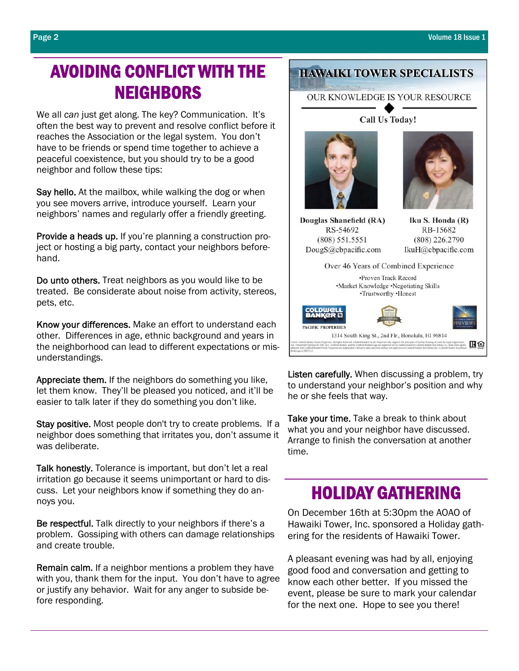## AVOIDING CONFLICT WITH THE **NEIGHBORS**

We all *can* just get along. The key? Communication. It's often the best way to prevent and resolve conflict before it reaches the Association or the legal system. You don't have to be friends or spend time together to achieve a peaceful coexistence, but you should try to be a good neighbor and follow these tips:

Say hello. At the mailbox, while walking the dog or when you see movers arrive, introduce yourself. Learn your neighbors' names and regularly offer a friendly greeting.

Provide a heads up. If you're planning a construction project or hosting a big party, contact your neighbors beforehand.

Do unto others. Treat neighbors as you would like to be treated. Be considerate about noise from activity, stereos, pets, etc.

Know your differences. Make an effort to understand each other. Differences in age, ethnic background and years in the neighborhood can lead to different expectations or misunderstandings.

Appreciate them. If the neighbors do something you like, let them know. They'll be pleased you noticed, and it'll be easier to talk later if they do something you don't like.

Stay positive. Most people don't try to create problems. If a neighbor does something that irritates you, don't assume it was deliberate.

Talk honestly. Tolerance is important, but don't let a real irritation go because it seems unimportant or hard to discuss. Let your neighbors know if something they do annoys you.

Be respectful. Talk directly to your neighbors if there's a problem. Gossiping with others can damage relationships and create trouble.

Remain calm. If a neighbor mentions a problem they have with you, thank them for the input. You don't have to agree or justify any behavior. Wait for any anger to subside before responding.

## **HAWAIKI TOWER SPECIALISTS**

**OUR KNOWLEDGE IS YOUR RESOURCE** 

**Call Us Today!** 



Douglas Shanefield (RA) RS-54692  $(808) 551.5551$ DougS@cbpacific.com

Iku S. Honda (R) RB-15682  $(808)$  226.2790 IkuH@cbpacific.com

| Over 46 Years of Combined Experience                                                                                                                                                                                                                                                                                                                                                                                                                                                                                                     |
|------------------------------------------------------------------------------------------------------------------------------------------------------------------------------------------------------------------------------------------------------------------------------------------------------------------------------------------------------------------------------------------------------------------------------------------------------------------------------------------------------------------------------------------|
| •Proven Track Record                                                                                                                                                                                                                                                                                                                                                                                                                                                                                                                     |
| •Market Knowledge •Negotiating Skills                                                                                                                                                                                                                                                                                                                                                                                                                                                                                                    |
| •Trustworthy •Honest                                                                                                                                                                                                                                                                                                                                                                                                                                                                                                                     |
| <b>COLDWELL</b><br>BANKER<br><b>PACIFIC PROPERTIES</b><br>1314 South King St., 2nd Flr., Honolulu, HI 96814                                                                                                                                                                                                                                                                                                                                                                                                                              |
|                                                                                                                                                                                                                                                                                                                                                                                                                                                                                                                                          |
| to Coldwell Bunker Pacific Properties. All Rights Reserved. Coldwell Bunker Pacific Properties fully supports the principles of the Fair Housing Act and the Equal Opportunity<br>Owned and Operated by NRT LLC Coldwell Banker' and the Coldwell Banker Logo are registered service marks owned by Coldwell Banker Real Estate LLC Bank entrie agents<br>ated with Coldwell Banker Pacific Properties are independent contractor sales associates and are not employees of Coldwell Banker Real Estate LLC. Coldwell Banker Realdential |

Listen carefully. When discussing a problem, try to understand your neighbor's position and why he or she feels that way.

Take your time. Take a break to think about what you and your neighbor have discussed. Arrange to finish the conversation at another time.

## HOLIDAY GATHERING

On December 16th at 5:30pm the AOAO of Hawaiki Tower, Inc. sponsored a Holiday gathering for the residents of Hawaiki Tower.

A pleasant evening was had by all, enjoying good food and conversation and getting to know each other better. If you missed the event, please be sure to mark your calendar for the next one. Hope to see you there!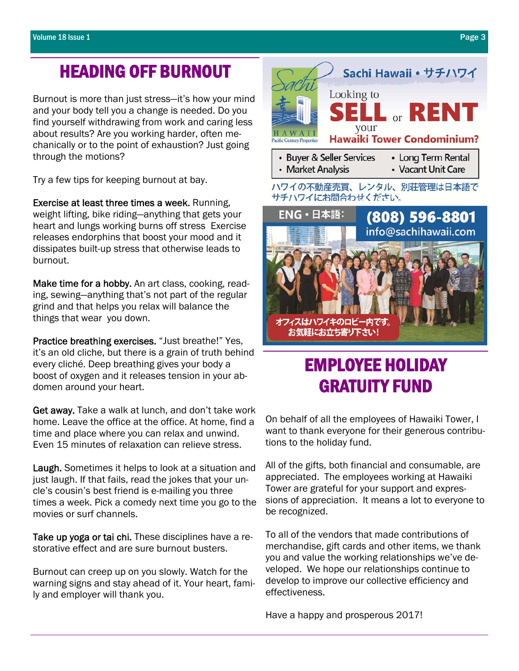## HEADING OFF BURNOUT

Burnout is more than just stress—it's how your mind and your body tell you a change is needed. Do you find yourself withdrawing from work and caring less about results? Are you working harder, often mechanically or to the point of exhaustion? Just going through the motions?

Try a few tips for keeping burnout at bay.

Exercise at least three times a week. Running, weight lifting, bike riding—anything that gets your heart and lungs working burns off stress Exercise releases endorphins that boost your mood and it dissipates built-up stress that otherwise leads to burnout.

Make time for a hobby. An art class, cooking, reading, sewing—anything that's not part of the regular grind and that helps you relax will balance the things that wear you down.

Practice breathing exercises. "Just breathe!" Yes, it's an old cliche, but there is a grain of truth behind every cliché. Deep breathing gives your body a boost of oxygen and it releases tension in your abdomen around your heart.

Get away. Take a walk at lunch, and don't take work home. Leave the office at the office. At home, find a time and place where you can relax and unwind. Even 15 minutes of relaxation can relieve stress.

Laugh. Sometimes it helps to look at a situation and just laugh. If that fails, read the jokes that your uncle's cousin's best friend is e-mailing you three times a week. Pick a comedy next time you go to the movies or surf channels.

Take up yoga or tai chi. These disciplines have a restorative effect and are sure burnout busters.

Burnout can creep up on you slowly. Watch for the warning signs and stay ahead of it. Your heart, family and employer will thank you.



# EMPLOYEE HOLIDAY GRATUITY FUND

On behalf of all the employees of Hawaiki Tower, I want to thank everyone for their generous contributions to the holiday fund.

All of the gifts, both financial and consumable, are appreciated. The employees working at Hawaiki Tower are grateful for your support and expressions of appreciation. It means a lot to everyone to be recognized.

To all of the vendors that made contributions of merchandise, gift cards and other items, we thank you and value the working relationships we've developed. We hope our relationships continue to develop to improve our collective efficiency and effectiveness.

Have a happy and prosperous 2017!